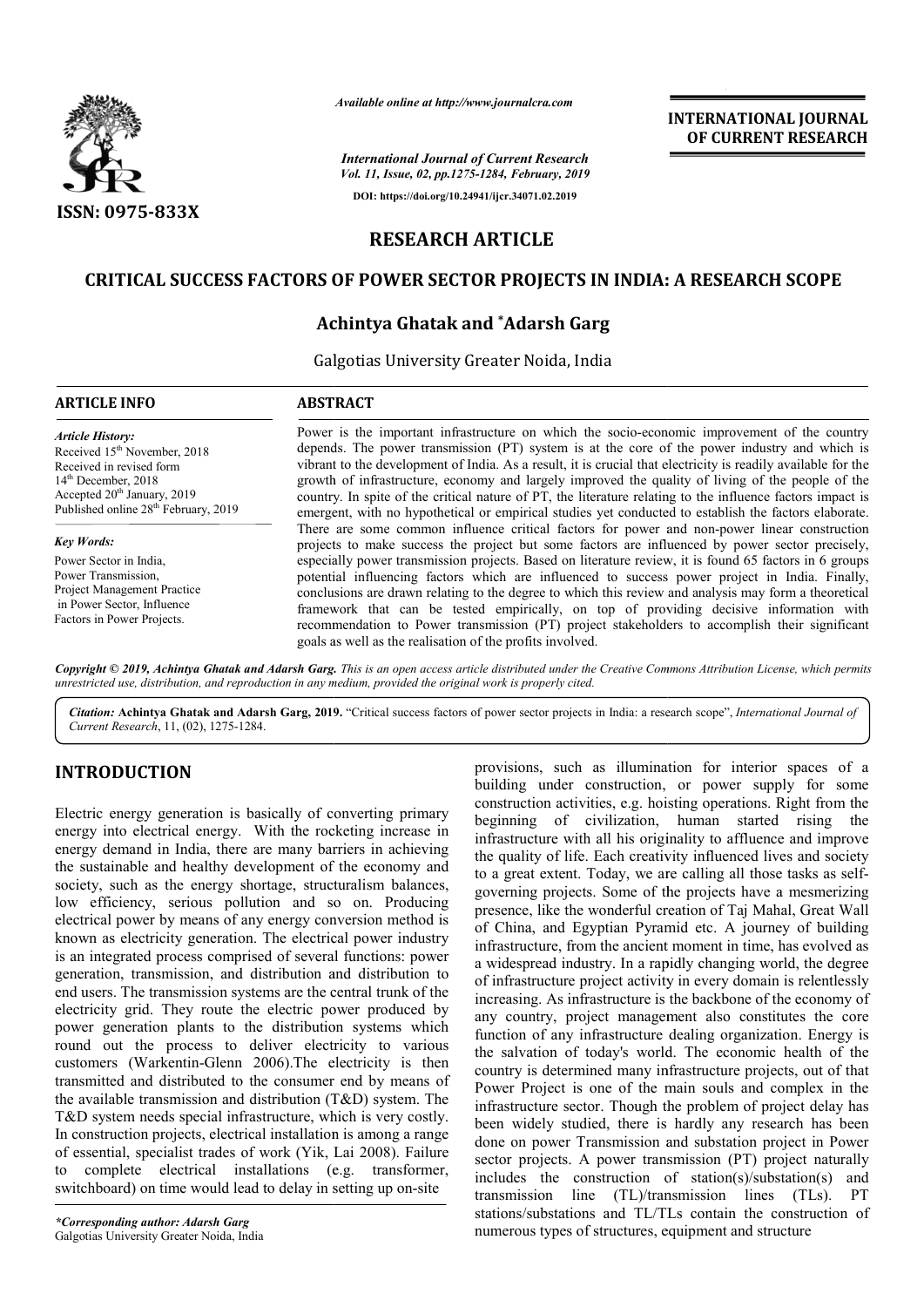

*Available online at http://www.journalcra.com*

*International Journal of Current Research Vol. 11, Issue, 02, pp.1275-1284, February, 2019* **DOI: https://doi.org/10.24941/ijcr.34071.02.2019**

**INTERNATIONAL JOURNAL OF CURRENT RESEARCH**

# **RESEARCH ARTICLE**

## **CRITICAL SUCCESS FACTORS OF POWER SECTOR PROJECTS IN INDIA: A RESEARCH SCOPE CRITICAL SUCCESS SECTOR PROJECTS IN INDIA: RESEARCH**

# **Achintya Ghatak and \*Adarsh Garg**

Galgotias University Greater Noida, India

## **ARTICLE INFO ABSTRACT**

Received 15<sup>th</sup> November, 2018 Received in revised form 14th December, 2018 Accepted 20<sup>th</sup> January, 2019 Published online 28<sup>th</sup> February, 2019

*Article History:*

*Key Words:*

Power Sector in India, Power Transmission, Project Management Practice in Power Sector, Influence Factors in Power Projects.

Power is the important infrastructure on which the socio-economic improvement of the country depends. The power transmission (PT) system is at the core of the power industry and which is vibrant to the development of India. As a result, it is crucial that electricity is readily available for the growth of infrastructure, economy and largely improved the quality of living of the people of the country. In spite of the critical nature of PT, the literature relating to the influence factors impact is emergent, with no hypothetical or empirical studies yet conducted to establish the factors elaborate. There are some common influence critical factors for power and non projects to make success the project but some factors are influenced by power sector precisely, especially power transmission projects. Based on literature review, it is found 65 factors in 6 groups potential influencing f factors which are influenced to success power project in India. Finally, conclusions are drawn relating to the degree to which this review and analysis may form a theoretical framework that can be tested empirically, on top of providing decisive information recommendation to Power transmission (PT) project stakeholders to accomplish their significant goals as well as the realisation of the profits involved. Power is the important infrastructure on which the socio-economic improvement of the country depends. The power transmission (PT) system is at the core of the power industry and which is vibrant to the development of India projects to make success the project but some factors are influenced by power sector precisely, especially power transmission projects. Based on literature review, it is found 65 factors in 6 groups potential influencing f

Copyright © 2019, Achintya Ghatak and Adarsh Garg. This is an open access article distributed under the Creative Commons Attribution License, which permits *unrestricted use, distribution, and reproduction in any medium, provided the original work is properly cited.*

Citation: Achintya Ghatak and Adarsh Garg, 2019. "Critical success factors of power sector projects in India: a research scope", International Journal of *Current Research*, 11, (02), 1275-1284.

# **INTRODUCTION**

Electric energy generation is basically of converting primary energy into electrical energy. With the rocketing increase in energy demand in India, there are many barriers in achieving the sustainable and healthy development of the economy and society, such as the energy shortage, structuralism balances, low efficiency, serious pollution and so on. Producing electrical power by means of any energy conversion method is known as electricity generation. The electrical power industry is an integrated process comprised of several functions: power generation, transmission, and distribution and distribution to end users. The transmission systems are the central trunk of the electricity grid. They route the electric power produced by power generation plants to the distribution systems which round out the process to deliver electricity to various customers (Warkentin-Glenn 2006).The electricity is then transmitted and distributed to the consumer end by means of the available transmission and distribution  $(T&D)$  system. The T&D system needs special infrastructure, which is very costly. In construction projects, electrical installation is among a range of essential, specialist trades of work (Yik, Lai 2008). Failure to complete electrical installations (e.g. transformer, switchboard) on time would lead to delay in setting up on-site ch as the energy shortage, structuralism balances,<br>ency, serious pollution and so on. Producing<br>ower by means of any energy conversion method is<br>electricity generation. The electrical power industry<br>rated process comprise provisions, such as illumination for interior spaces of a provisions, such as illumination for interior spaces of a building under construction, or power supply for some construction activities, e.g. hoisting operations. Right from the beginning of civilization, human started rising the infrastructure with all his originality to affluence and improve the quality of life. Each creativity influenced lives and society to a great extent. Today, we are calling all those tasks as self governing projects. Some of the projects have a mesmerizing presence, like the wonderful creation of Taj Mahal, Great Wall of China, and Egyptian Pyramid etc. A journey of building infrastructure, from the ancient moment in time, has evolved as a widespread industry. In a rapidly changing world, the degree of infrastructure project activity in every domain is relentlessly increasing. As infrastructure is the backbone of the economy of any country, project management also constitutes the core function of any infrastructure dealing organization. Energy is the salvation of today's world. The economic health of the country is determined many infrastructure projects, out of that Power Project is one of the main souls and complex in the infrastructure sector. Though the problem of project delay has been widely studied, there is hardly any research has been done on power Transmission and substation project in Power sector projects. A power transmission (PT) project naturally includes the construction of station(s)/substation(s) and transmission line (TL)/transmission lines (TLs). PT stations/substations and TL/TLs contain the construction of numerous types of structures, equipment and structure struction activities, e.g. hoisting operations. Right from the inning of civilization, human started rising the astructure with all his originality to affluence and improve quality of life. Each creativity influenced lives governing projects. Some of the projects have a mesmerizing<br>presence, like the wonderful creation of Taj Mahal, Great Wall<br>of China, and Egyptian Pyramid etc. A journey of building<br>infrastructure, from the ancient moment i **EXERCT SECTS ANTIFIGRA CONTRAINS (SEE ASSEEM CONTRAINS (SEE ASSEEM CONTRAINS)**<br> **CONSTRAINS (SEE ASSEEM ANTIFIC ASSEEM AND AND A SURFAINS (SEE ASSEEM) (SEE ASSEEM AND A SURFAINS (SEE ASSEEM AND A SURFAINS (SEE ASSEEM ) an**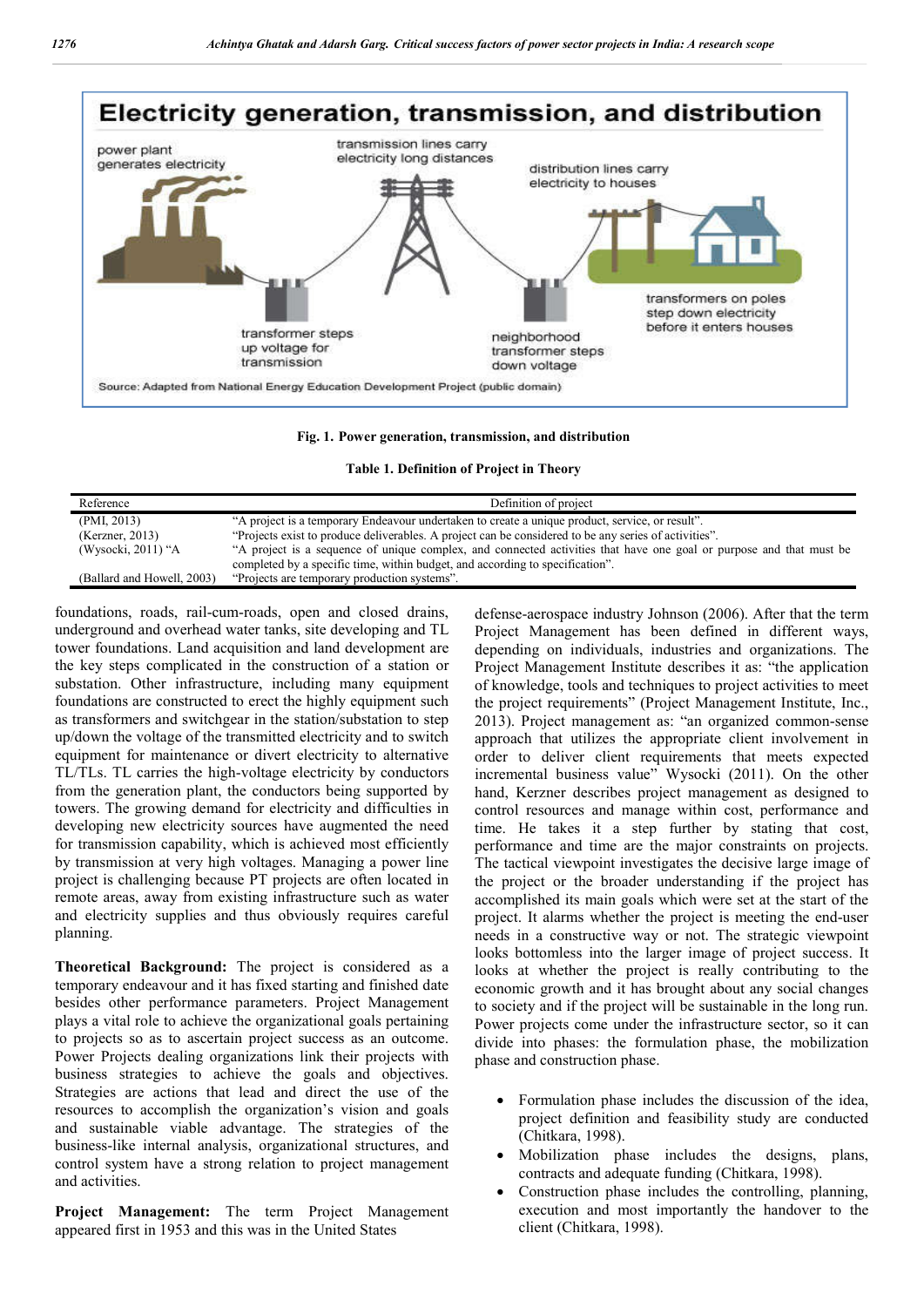

#### **Fig. 1. Power generation, transmission, and distribution**

**Table 1. Definition of Project in Theory**

| Reference                  | Definition of project                                                                                                                                                                                |
|----------------------------|------------------------------------------------------------------------------------------------------------------------------------------------------------------------------------------------------|
| (PMI, 2013)                | "A project is a temporary Endeavour undertaken to create a unique product, service, or result".                                                                                                      |
| (Kerzner, 2013)            | "Projects exist to produce deliverables. A project can be considered to be any series of activities".                                                                                                |
| (Wysocki, 2011) "A         | "A project is a sequence of unique complex, and connected activities that have one goal or purpose and that must be<br>completed by a specific time, within budget, and according to specification". |
| (Ballard and Howell, 2003) | "Projects are temporary production systems".                                                                                                                                                         |

foundations, roads, rail-cum-roads, open and closed drains, underground and overhead water tanks, site developing and TL tower foundations. Land acquisition and land development are the key steps complicated in the construction of a station or substation. Other infrastructure, including many equipment foundations are constructed to erect the highly equipment such as transformers and switchgear in the station/substation to step up/down the voltage of the transmitted electricity and to switch equipment for maintenance or divert electricity to alternative TL/TLs. TL carries the high-voltage electricity by conductors from the generation plant, the conductors being supported by towers. The growing demand for electricity and difficulties in developing new electricity sources have augmented the need for transmission capability, which is achieved most efficiently by transmission at very high voltages. Managing a power line project is challenging because PT projects are often located in remote areas, away from existing infrastructure such as water and electricity supplies and thus obviously requires careful planning.

**Theoretical Background:** The project is considered as a temporary endeavour and it has fixed starting and finished date besides other performance parameters. Project Management plays a vital role to achieve the organizational goals pertaining to projects so as to ascertain project success as an outcome. Power Projects dealing organizations link their projects with business strategies to achieve the goals and objectives. Strategies are actions that lead and direct the use of the resources to accomplish the organization's vision and goals and sustainable viable advantage. The strategies of the business-like internal analysis, organizational structures, and control system have a strong relation to project management and activities.

**Project Management:** The term Project Management appeared first in 1953 and this was in the United States

defense-aerospace industry Johnson (2006). After that the term Project Management has been defined in different ways, depending on individuals, industries and organizations. The Project Management Institute describes it as: "the application of knowledge, tools and techniques to project activities to meet the project requirements" (Project Management Institute, Inc., 2013). Project management as: "an organized common-sense approach that utilizes the appropriate client involvement in order to deliver client requirements that meets expected incremental business value" Wysocki (2011). On the other hand, Kerzner describes project management as designed to control resources and manage within cost, performance and time. He takes it a step further by stating that cost, performance and time are the major constraints on projects. The tactical viewpoint investigates the decisive large image of the project or the broader understanding if the project has accomplished its main goals which were set at the start of the project. It alarms whether the project is meeting the end-user needs in a constructive way or not. The strategic viewpoint looks bottomless into the larger image of project success. It looks at whether the project is really contributing to the economic growth and it has brought about any social changes to society and if the project will be sustainable in the long run. Power projects come under the infrastructure sector, so it can divide into phases: the formulation phase, the mobilization phase and construction phase.

- Formulation phase includes the discussion of the idea, project definition and feasibility study are conducted (Chitkara, 1998).
- Mobilization phase includes the designs, plans, contracts and adequate funding (Chitkara, 1998).
- Construction phase includes the controlling, planning, execution and most importantly the handover to the client (Chitkara, 1998).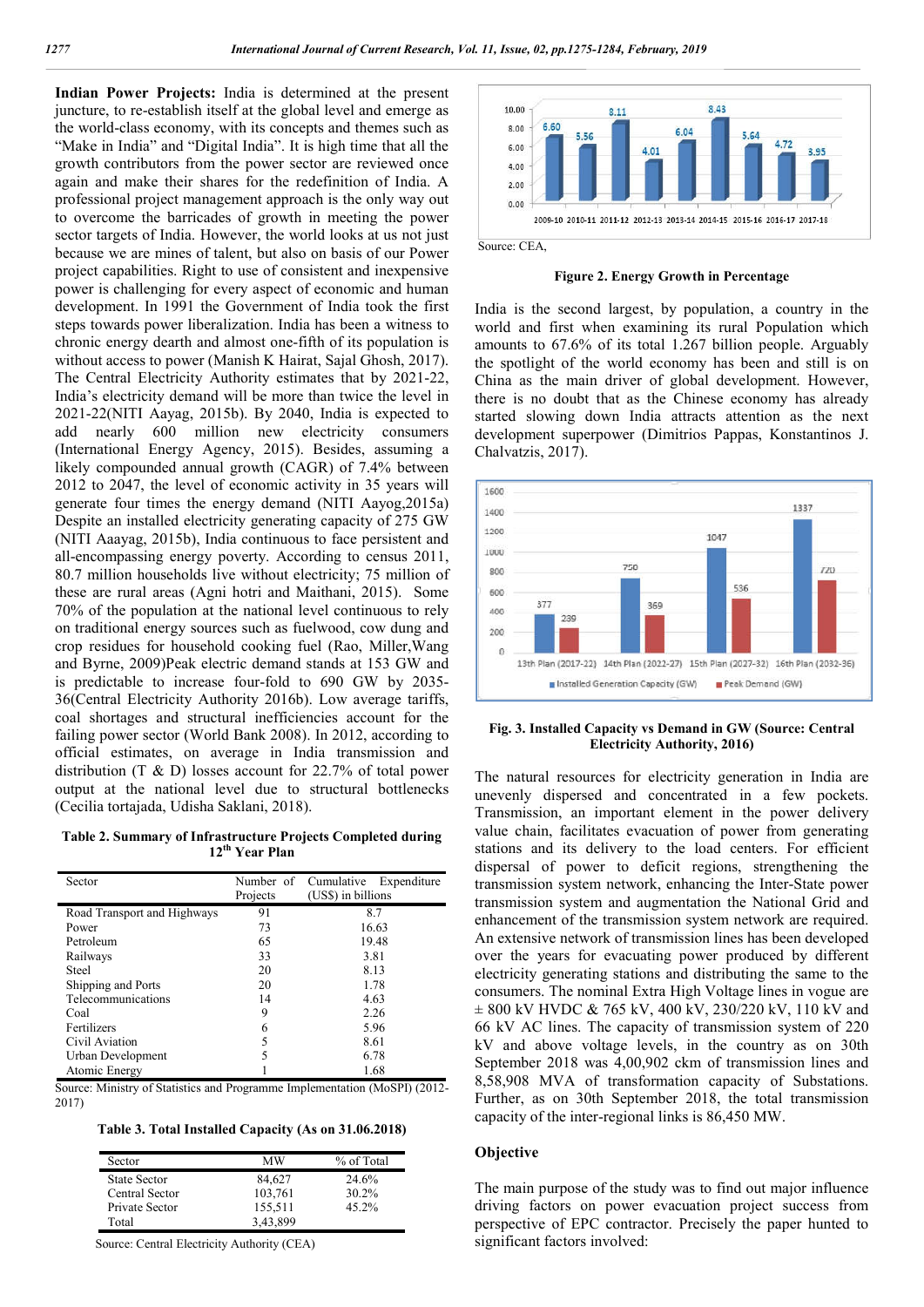**Indian Power Projects:** India is determined at the present juncture, to re-establish itself at the global level and emerge as the world-class economy, with its concepts and themes such as "Make in India" and "Digital India". It is high time that all the growth contributors from the power sector are reviewed once again and make their shares for the redefinition of India. A professional project management approach is the only way out to overcome the barricades of growth in meeting the power sector targets of India. However, the world looks at us not just because we are mines of talent, but also on basis of our Power project capabilities. Right to use of consistent and inexpensive power is challenging for every aspect of economic and human development. In 1991 the Government of India took the first steps towards power liberalization. India has been a witness to chronic energy dearth and almost one-fifth of its population is without access to power (Manish K Hairat, Sajal Ghosh, 2017). The Central Electricity Authority estimates that by 2021-22, India's electricity demand will be more than twice the level in 2021-22(NITI Aayag, 2015b). By 2040, India is expected to add nearly 600 million new electricity consumers (International Energy Agency, 2015). Besides, assuming a likely compounded annual growth (CAGR) of 7.4% between 2012 to 2047, the level of economic activity in 35 years will generate four times the energy demand (NITI Aayog,2015a) Despite an installed electricity generating capacity of 275 GW (NITI Aaayag, 2015b), India continuous to face persistent and all-encompassing energy poverty. According to census 2011, 80.7 million households live without electricity; 75 million of these are rural areas (Agni hotri and Maithani, 2015). Some 70% of the population at the national level continuous to rely on traditional energy sources such as fuelwood, cow dung and crop residues for household cooking fuel (Rao, Miller,Wang and Byrne, 2009)Peak electric demand stands at 153 GW and is predictable to increase four-fold to 690 GW by 2035- 36(Central Electricity Authority 2016b). Low average tariffs, coal shortages and structural inefficiencies account for the failing power sector (World Bank 2008). In 2012, according to official estimates, on average in India transmission and distribution (T & D) losses account for 22.7% of total power output at the national level due to structural bottlenecks (Cecilia tortajada, Udisha Saklani, 2018).

**Table 2. Summary of Infrastructure Projects Completed during 12th Year Plan**

| Sector                      | Projects | Number of Cumulative<br>Expenditure<br>(US\$) in billions |
|-----------------------------|----------|-----------------------------------------------------------|
| Road Transport and Highways | 91       | 8.7                                                       |
| Power                       | 73       | 16.63                                                     |
| Petroleum                   | 65       | 19.48                                                     |
| Railways                    | 33       | 3.81                                                      |
| Steel                       | 20       | 8.13                                                      |
| Shipping and Ports          | 20       | 1.78                                                      |
| Telecommunications          | 14       | 4.63                                                      |
| Coal                        | 9        | 2.26                                                      |
| Fertilizers                 | 6        | 5.96                                                      |
| Civil Aviation              |          | 8.61                                                      |
| Urban Development           | 5        | 6.78                                                      |
| Atomic Energy               |          | 1.68                                                      |

Source: Ministry of Statistics and Programme Implementation (MoSPI) (2012- 2017)

**Table 3. Total Installed Capacity (As on 31.06.2018)**

| Sector              | МW       | % of Total |
|---------------------|----------|------------|
| <b>State Sector</b> | 84,627   | 24.6%      |
| Central Sector      | 103.761  | 30.2%      |
| Private Sector      | 155.511  | 45.2%      |
| Total               | 3.43.899 |            |

Source: Central Electricity Authority (CEA)



**Figure 2. Energy Growth in Percentage**

India is the second largest, by population, a country in the world and first when examining its rural Population which amounts to 67.6% of its total 1.267 billion people. Arguably the spotlight of the world economy has been and still is on China as the main driver of global development. However, there is no doubt that as the Chinese economy has already started slowing down India attracts attention as the next development superpower (Dimitrios Pappas, Konstantinos J. Chalvatzis, 2017).



**Fig. 3. Installed Capacity vs Demand in GW (Source: Central Electricity Authority, 2016)**

The natural resources for electricity generation in India are unevenly dispersed and concentrated in a few pockets. Transmission, an important element in the power delivery value chain, facilitates evacuation of power from generating stations and its delivery to the load centers. For efficient dispersal of power to deficit regions, strengthening the transmission system network, enhancing the Inter-State power transmission system and augmentation the National Grid and enhancement of the transmission system network are required. An extensive network of transmission lines has been developed over the years for evacuating power produced by different electricity generating stations and distributing the same to the consumers. The nominal Extra High Voltage lines in vogue are ± 800 kV HVDC & 765 kV, 400 kV, 230/220 kV, 110 kV and 66 kV AC lines. The capacity of transmission system of 220 kV and above voltage levels, in the country as on 30th September 2018 was 4,00,902 ckm of transmission lines and 8,58,908 MVA of transformation capacity of Substations. Further, as on 30th September 2018, the total transmission capacity of the inter-regional links is 86,450 MW.

#### **Objective**

The main purpose of the study was to find out major influence driving factors on power evacuation project success from perspective of EPC contractor. Precisely the paper hunted to significant factors involved: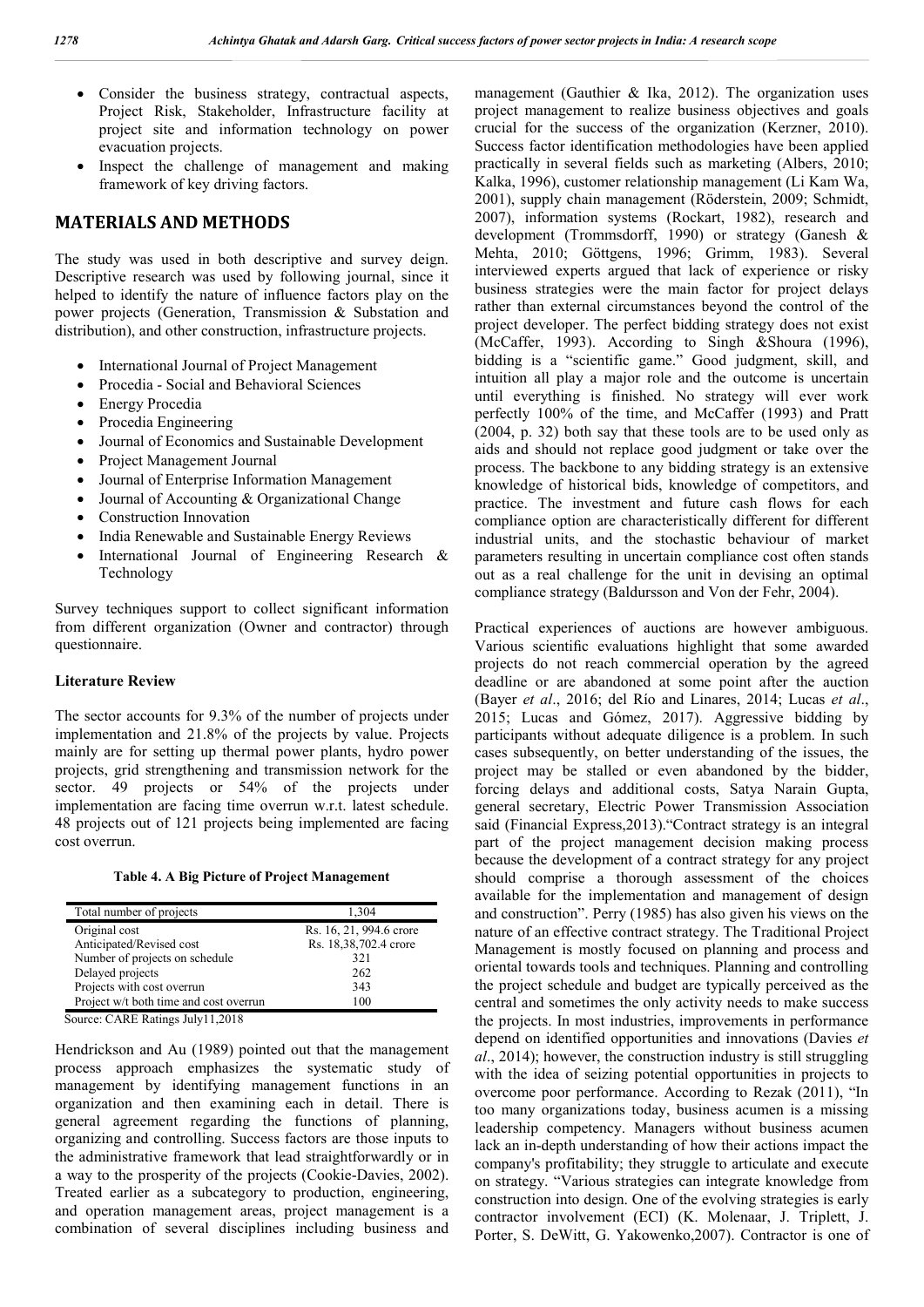- Consider the business strategy, contractual aspects, Project Risk, Stakeholder, Infrastructure facility at project site and information technology on power evacuation projects.
- Inspect the challenge of management and making framework of key driving factors.

### **MATERIALS AND METHODS**

The study was used in both descriptive and survey deign. Descriptive research was used by following journal, since it helped to identify the nature of influence factors play on the power projects (Generation, Transmission & Substation and distribution), and other construction, infrastructure projects.

- International Journal of Project Management
- Procedia Social and Behavioral Sciences
- Energy Procedia
- Procedia Engineering
- Journal of Economics and Sustainable Development
- Project Management Journal
- Journal of Enterprise Information Management
- Journal of Accounting & Organizational Change
- Construction Innovation
- India Renewable and Sustainable Energy Reviews
- International Journal of Engineering Research & Technology

Survey techniques support to collect significant information from different organization (Owner and contractor) through questionnaire.

### **Literature Review**

The sector accounts for 9.3% of the number of projects under implementation and 21.8% of the projects by value. Projects mainly are for setting up thermal power plants, hydro power projects, grid strengthening and transmission network for the sector. 49 projects or 54% of the projects under implementation are facing time overrun w.r.t. latest schedule. 48 projects out of 121 projects being implemented are facing cost overrun.

**Table 4. A Big Picture of Project Management**

| Total number of projects               | 1.304                   |
|----------------------------------------|-------------------------|
| Original cost                          | Rs. 16, 21, 994.6 crore |
| Anticipated/Revised cost               | Rs. 18,38,702.4 crore   |
| Number of projects on schedule         | 321                     |
| Delayed projects                       | 262                     |
| Projects with cost overrun             | 343                     |
| Project w/t both time and cost overrun | 100                     |
| Source: CARE Ratings July11.2018       |                         |

Hendrickson and Au (1989) pointed out that the management process approach emphasizes the systematic study of management by identifying management functions in an organization and then examining each in detail. There is general agreement regarding the functions of planning, organizing and controlling. Success factors are those inputs to the administrative framework that lead straightforwardly or in a way to the prosperity of the projects (Cookie-Davies, 2002). Treated earlier as a subcategory to production, engineering, and operation management areas, project management is a combination of several disciplines including business and

management (Gauthier & Ika, 2012). The organization uses project management to realize business objectives and goals crucial for the success of the organization (Kerzner, 2010). Success factor identification methodologies have been applied practically in several fields such as marketing (Albers, 2010; Kalka, 1996), customer relationship management (Li Kam Wa, 2001), supply chain management (Röderstein, 2009; Schmidt, 2007), information systems (Rockart, 1982), research and development (Trommsdorff, 1990) or strategy (Ganesh & Mehta, 2010; Göttgens, 1996; Grimm, 1983). Several interviewed experts argued that lack of experience or risky business strategies were the main factor for project delays rather than external circumstances beyond the control of the project developer. The perfect bidding strategy does not exist (McCaffer, 1993). According to Singh &Shoura (1996), bidding is a "scientific game." Good judgment, skill, and intuition all play a major role and the outcome is uncertain until everything is finished. No strategy will ever work perfectly 100% of the time, and McCaffer (1993) and Pratt (2004, p. 32) both say that these tools are to be used only as aids and should not replace good judgment or take over the process. The backbone to any bidding strategy is an extensive knowledge of historical bids, knowledge of competitors, and practice. The investment and future cash flows for each compliance option are characteristically different for different industrial units, and the stochastic behaviour of market parameters resulting in uncertain compliance cost often stands out as a real challenge for the unit in devising an optimal compliance strategy (Baldursson and Von der Fehr, 2004).

Practical experiences of auctions are however ambiguous. Various scientific evaluations highlight that some awarded projects do not reach commercial operation by the agreed deadline or are abandoned at some point after the auction (Bayer *et al*., 2016; del Río and Linares, 2014; Lucas *et al*., 2015; Lucas and Gómez, 2017). Aggressive bidding by participants without adequate diligence is a problem. In such cases subsequently, on better understanding of the issues, the project may be stalled or even abandoned by the bidder, forcing delays and additional costs, Satya Narain Gupta, general secretary, Electric Power Transmission Association said (Financial Express,2013)."Contract strategy is an integral part of the project management decision making process because the development of a contract strategy for any project should comprise a thorough assessment of the choices available for the implementation and management of design and construction". Perry (1985) has also given his views on the nature of an effective contract strategy. The Traditional Project Management is mostly focused on planning and process and oriental towards tools and techniques. Planning and controlling the project schedule and budget are typically perceived as the central and sometimes the only activity needs to make success the projects. In most industries, improvements in performance depend on identified opportunities and innovations (Davies *et al*., 2014); however, the construction industry is still struggling with the idea of seizing potential opportunities in projects to overcome poor performance. According to Rezak (2011), "In too many organizations today, business acumen is a missing leadership competency. Managers without business acumen lack an in-depth understanding of how their actions impact the company's profitability; they struggle to articulate and execute on strategy. "Various strategies can integrate knowledge from construction into design. One of the evolving strategies is early contractor involvement (ECI) (K. Molenaar, J. Triplett, J. Porter, S. DeWitt, G. Yakowenko,2007). Contractor is one of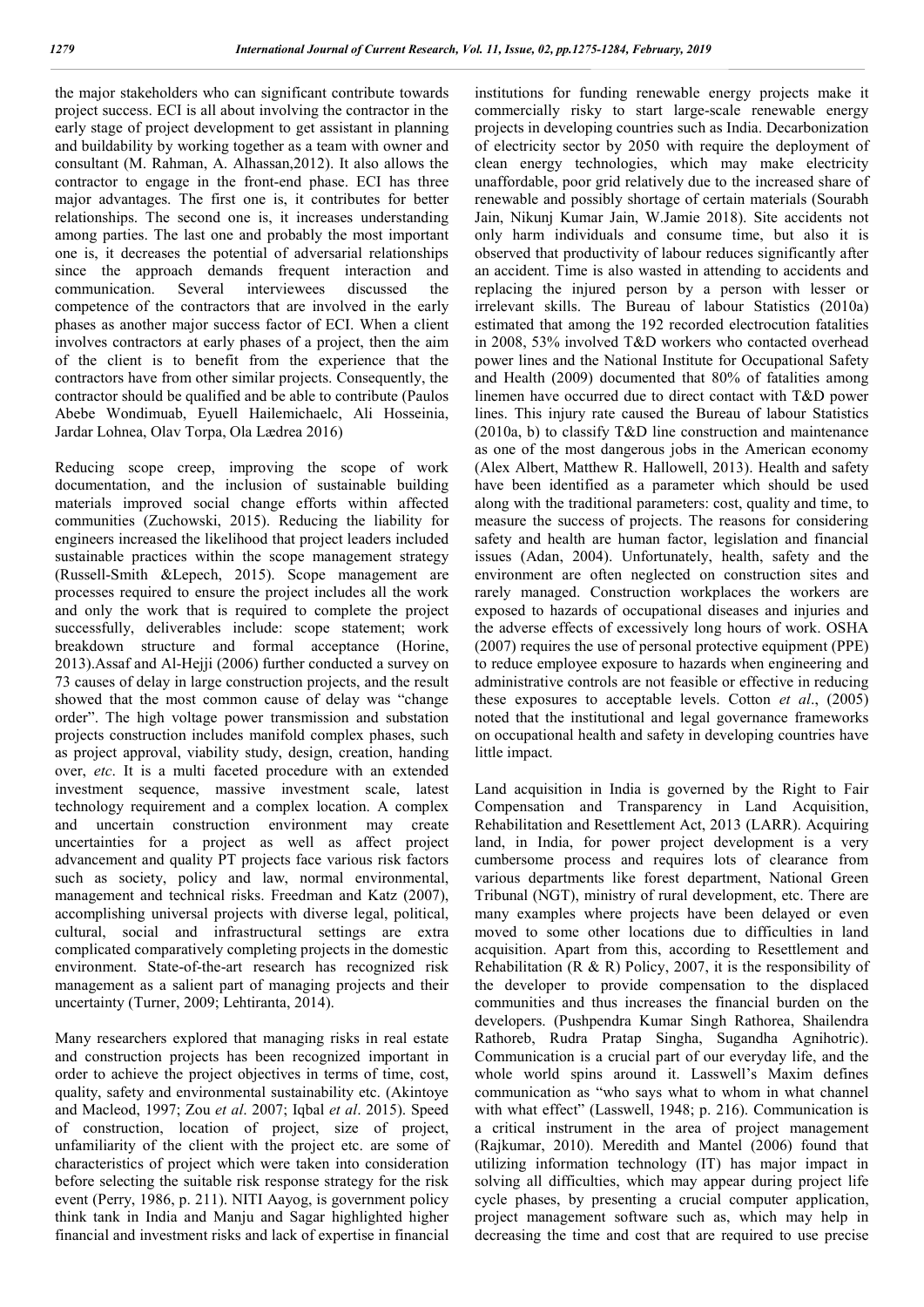the major stakeholders who can significant contribute towards project success. ECI is all about involving the contractor in the early stage of project development to get assistant in planning and buildability by working together as a team with owner and consultant (M. Rahman, A. Alhassan,2012). It also allows the contractor to engage in the front-end phase. ECI has three major advantages. The first one is, it contributes for better relationships. The second one is, it increases understanding among parties. The last one and probably the most important one is, it decreases the potential of adversarial relationships since the approach demands frequent interaction and communication. Several interviewees discussed the competence of the contractors that are involved in the early phases as another major success factor of ECI. When a client involves contractors at early phases of a project, then the aim of the client is to benefit from the experience that the contractors have from other similar projects. Consequently, the contractor should be qualified and be able to contribute (Paulos Abebe Wondimuab, Eyuell Hailemichaelc, Ali Hosseinia, Jardar Lohnea, Olav Torpa, Ola Lædrea 2016)

Reducing scope creep, improving the scope of work documentation, and the inclusion of sustainable building materials improved social change efforts within affected communities (Zuchowski, 2015). Reducing the liability for engineers increased the likelihood that project leaders included sustainable practices within the scope management strategy (Russell-Smith &Lepech, 2015). Scope management are processes required to ensure the project includes all the work and only the work that is required to complete the project successfully, deliverables include: scope statement; work breakdown structure and formal acceptance (Horine, 2013).Assaf and Al-Hejji (2006) further conducted a survey on 73 causes of delay in large construction projects, and the result showed that the most common cause of delay was "change order". The high voltage power transmission and substation projects construction includes manifold complex phases, such as project approval, viability study, design, creation, handing over, *etc*. It is a multi faceted procedure with an extended investment sequence, massive investment scale, latest technology requirement and a complex location. A complex and uncertain construction environment may create uncertainties for a project as well as affect project advancement and quality PT projects face various risk factors such as society, policy and law, normal environmental, management and technical risks. Freedman and Katz (2007), accomplishing universal projects with diverse legal, political, cultural, social and infrastructural settings are extra complicated comparatively completing projects in the domestic environment. State-of-the-art research has recognized risk management as a salient part of managing projects and their uncertainty (Turner, 2009; Lehtiranta, 2014).

Many researchers explored that managing risks in real estate and construction projects has been recognized important in order to achieve the project objectives in terms of time, cost, quality, safety and environmental sustainability etc. (Akintoye and Macleod, 1997; Zou *et al*. 2007; Iqbal *et al*. 2015). Speed of construction, location of project, size of project, unfamiliarity of the client with the project etc. are some of characteristics of project which were taken into consideration before selecting the suitable risk response strategy for the risk event (Perry, 1986, p. 211). NITI Aayog, is government policy think tank in India and Manju and Sagar highlighted higher financial and investment risks and lack of expertise in financial

institutions for funding renewable energy projects make it commercially risky to start large-scale renewable energy projects in developing countries such as India. Decarbonization of electricity sector by 2050 with require the deployment of clean energy technologies, which may make electricity unaffordable, poor grid relatively due to the increased share of renewable and possibly shortage of certain materials (Sourabh Jain, Nikunj Kumar Jain, W.Jamie 2018). Site accidents not only harm individuals and consume time, but also it is observed that productivity of labour reduces significantly after an accident. Time is also wasted in attending to accidents and replacing the injured person by a person with lesser or irrelevant skills. The Bureau of labour Statistics (2010a) estimated that among the 192 recorded electrocution fatalities in 2008, 53% involved T&D workers who contacted overhead power lines and the National Institute for Occupational Safety and Health (2009) documented that 80% of fatalities among linemen have occurred due to direct contact with T&D power lines. This injury rate caused the Bureau of labour Statistics (2010a, b) to classify T&D line construction and maintenance as one of the most dangerous jobs in the American economy (Alex Albert, Matthew R. Hallowell, 2013). Health and safety have been identified as a parameter which should be used along with the traditional parameters: cost, quality and time, to measure the success of projects. The reasons for considering safety and health are human factor, legislation and financial issues (Adan, 2004). Unfortunately, health, safety and the environment are often neglected on construction sites and rarely managed. Construction workplaces the workers are exposed to hazards of occupational diseases and injuries and the adverse effects of excessively long hours of work. OSHA (2007) requires the use of personal protective equipment (PPE) to reduce employee exposure to hazards when engineering and administrative controls are not feasible or effective in reducing these exposures to acceptable levels. Cotton *et al*., (2005) noted that the institutional and legal governance frameworks on occupational health and safety in developing countries have little impact.

Land acquisition in India is governed by the Right to Fair Compensation and Transparency in Land Acquisition, Rehabilitation and Resettlement Act, 2013 (LARR). Acquiring land, in India, for power project development is a very cumbersome process and requires lots of clearance from various departments like forest department, National Green Tribunal (NGT), ministry of rural development, etc. There are many examples where projects have been delayed or even moved to some other locations due to difficulties in land acquisition. Apart from this, according to Resettlement and Rehabilitation (R & R) Policy, 2007, it is the responsibility of the developer to provide compensation to the displaced communities and thus increases the financial burden on the developers. (Pushpendra Kumar Singh Rathorea, Shailendra Rathoreb, Rudra Pratap Singha, Sugandha Agnihotric). Communication is a crucial part of our everyday life, and the whole world spins around it. Lasswell's Maxim defines communication as "who says what to whom in what channel with what effect" (Lasswell, 1948; p. 216). Communication is a critical instrument in the area of project management (Rajkumar, 2010). Meredith and Mantel (2006) found that utilizing information technology (IT) has major impact in solving all difficulties, which may appear during project life cycle phases, by presenting a crucial computer application, project management software such as, which may help in decreasing the time and cost that are required to use precise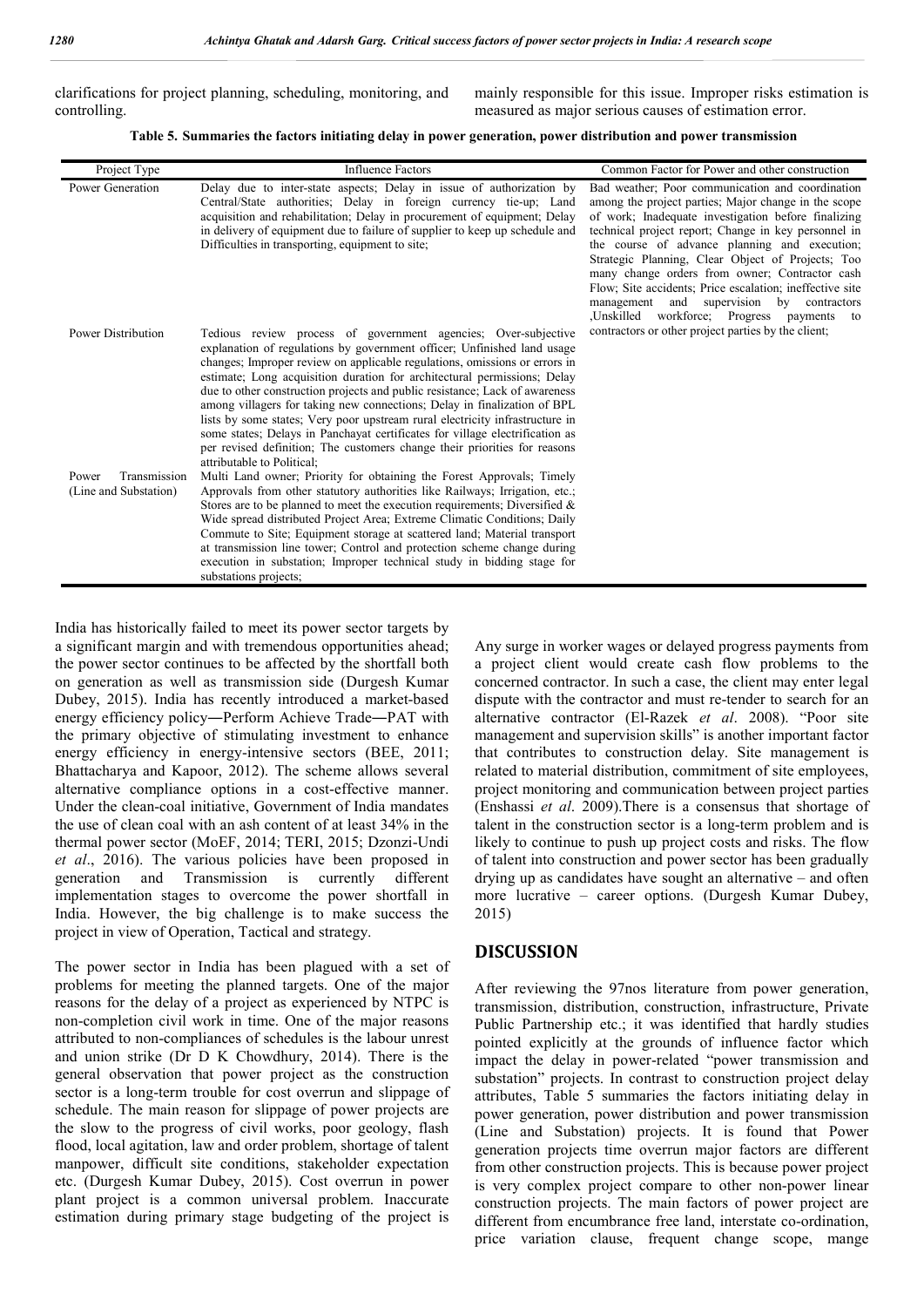clarifications for project planning, scheduling, monitoring, and controlling.

mainly responsible for this issue. Improper risks estimation is measured as major serious causes of estimation error.

**Table 5. Summaries the factors initiating delay in power generation, power distribution and power transmission**

| Project Type                                   | <b>Influence Factors</b>                                                                                                                                                                                                                                                                                                                                                                                                                                                                                                                                                                                                                                                                                                                  | Common Factor for Power and other construction                                                                                                                                                                                                                                                                                                                                                                                                                                                                                                        |
|------------------------------------------------|-------------------------------------------------------------------------------------------------------------------------------------------------------------------------------------------------------------------------------------------------------------------------------------------------------------------------------------------------------------------------------------------------------------------------------------------------------------------------------------------------------------------------------------------------------------------------------------------------------------------------------------------------------------------------------------------------------------------------------------------|-------------------------------------------------------------------------------------------------------------------------------------------------------------------------------------------------------------------------------------------------------------------------------------------------------------------------------------------------------------------------------------------------------------------------------------------------------------------------------------------------------------------------------------------------------|
| Power Generation                               | Delay due to inter-state aspects; Delay in issue of authorization by<br>Central/State authorities; Delay in foreign currency tie-up; Land<br>acquisition and rehabilitation; Delay in procurement of equipment; Delay<br>in delivery of equipment due to failure of supplier to keep up schedule and<br>Difficulties in transporting, equipment to site;                                                                                                                                                                                                                                                                                                                                                                                  | Bad weather; Poor communication and coordination<br>among the project parties; Major change in the scope<br>of work; Inadequate investigation before finalizing<br>technical project report; Change in key personnel in<br>the course of advance planning and execution;<br>Strategic Planning, Clear Object of Projects; Too<br>many change orders from owner; Contractor cash<br>Flow; Site accidents; Price escalation; ineffective site<br>and<br>supervision by contractors<br>management<br>Unskilled.<br>workforce; Progress<br>payments<br>to |
| <b>Power Distribution</b>                      | Tedious review process of government agencies; Over-subjective<br>explanation of regulations by government officer; Unfinished land usage<br>changes; Improper review on applicable regulations, omissions or errors in<br>estimate; Long acquisition duration for architectural permissions; Delay<br>due to other construction projects and public resistance; Lack of awareness<br>among villagers for taking new connections; Delay in finalization of BPL<br>lists by some states; Very poor upstream rural electricity infrastructure in<br>some states; Delays in Panchayat certificates for village electrification as<br>per revised definition; The customers change their priorities for reasons<br>attributable to Political: | contractors or other project parties by the client;                                                                                                                                                                                                                                                                                                                                                                                                                                                                                                   |
| Power<br>Transmission<br>(Line and Substation) | Multi Land owner; Priority for obtaining the Forest Approvals; Timely<br>Approvals from other statutory authorities like Railways; Irrigation, etc.;<br>Stores are to be planned to meet the execution requirements; Diversified $\&$<br>Wide spread distributed Project Area; Extreme Climatic Conditions; Daily<br>Commute to Site; Equipment storage at scattered land; Material transport<br>at transmission line tower; Control and protection scheme change during<br>execution in substation; Improper technical study in bidding stage for<br>substations projects;                                                                                                                                                               |                                                                                                                                                                                                                                                                                                                                                                                                                                                                                                                                                       |

India has historically failed to meet its power sector targets by a significant margin and with tremendous opportunities ahead; the power sector continues to be affected by the shortfall both on generation as well as transmission side (Durgesh Kumar Dubey, 2015). India has recently introduced a market-based energy efficiency policy―Perform Achieve Trade―PAT with the primary objective of stimulating investment to enhance energy efficiency in energy-intensive sectors (BEE, 2011; Bhattacharya and Kapoor, 2012). The scheme allows several alternative compliance options in a cost-effective manner. Under the clean-coal initiative, Government of India mandates the use of clean coal with an ash content of at least 34% in the thermal power sector (MoEF, 2014; TERI, 2015; Dzonzi-Undi *et al*., 2016). The various policies have been proposed in generation and Transmission is currently different implementation stages to overcome the power shortfall in India. However, the big challenge is to make success the project in view of Operation, Tactical and strategy.

The power sector in India has been plagued with a set of problems for meeting the planned targets. One of the major reasons for the delay of a project as experienced by NTPC is non-completion civil work in time. One of the major reasons attributed to non-compliances of schedules is the labour unrest and union strike (Dr D K Chowdhury, 2014). There is the general observation that power project as the construction sector is a long-term trouble for cost overrun and slippage of schedule. The main reason for slippage of power projects are the slow to the progress of civil works, poor geology, flash flood, local agitation, law and order problem, shortage of talent manpower, difficult site conditions, stakeholder expectation etc. (Durgesh Kumar Dubey, 2015). Cost overrun in power plant project is a common universal problem. Inaccurate estimation during primary stage budgeting of the project is

Any surge in worker wages or delayed progress payments from a project client would create cash flow problems to the concerned contractor. In such a case, the client may enter legal dispute with the contractor and must re-tender to search for an alternative contractor (El-Razek *et al*. 2008). "Poor site management and supervision skills" is another important factor that contributes to construction delay. Site management is related to material distribution, commitment of site employees, project monitoring and communication between project parties (Enshassi *et al*. 2009).There is a consensus that shortage of talent in the construction sector is a long-term problem and is likely to continue to push up project costs and risks. The flow of talent into construction and power sector has been gradually drying up as candidates have sought an alternative – and often more lucrative – career options. (Durgesh Kumar Dubey, 2015)

## **DISCUSSION**

After reviewing the 97nos literature from power generation, transmission, distribution, construction, infrastructure, Private Public Partnership etc.; it was identified that hardly studies pointed explicitly at the grounds of influence factor which impact the delay in power-related "power transmission and substation" projects. In contrast to construction project delay attributes, Table 5 summaries the factors initiating delay in power generation, power distribution and power transmission (Line and Substation) projects. It is found that Power generation projects time overrun major factors are different from other construction projects. This is because power project is very complex project compare to other non-power linear construction projects. The main factors of power project are different from encumbrance free land, interstate co-ordination, price variation clause, frequent change scope, mange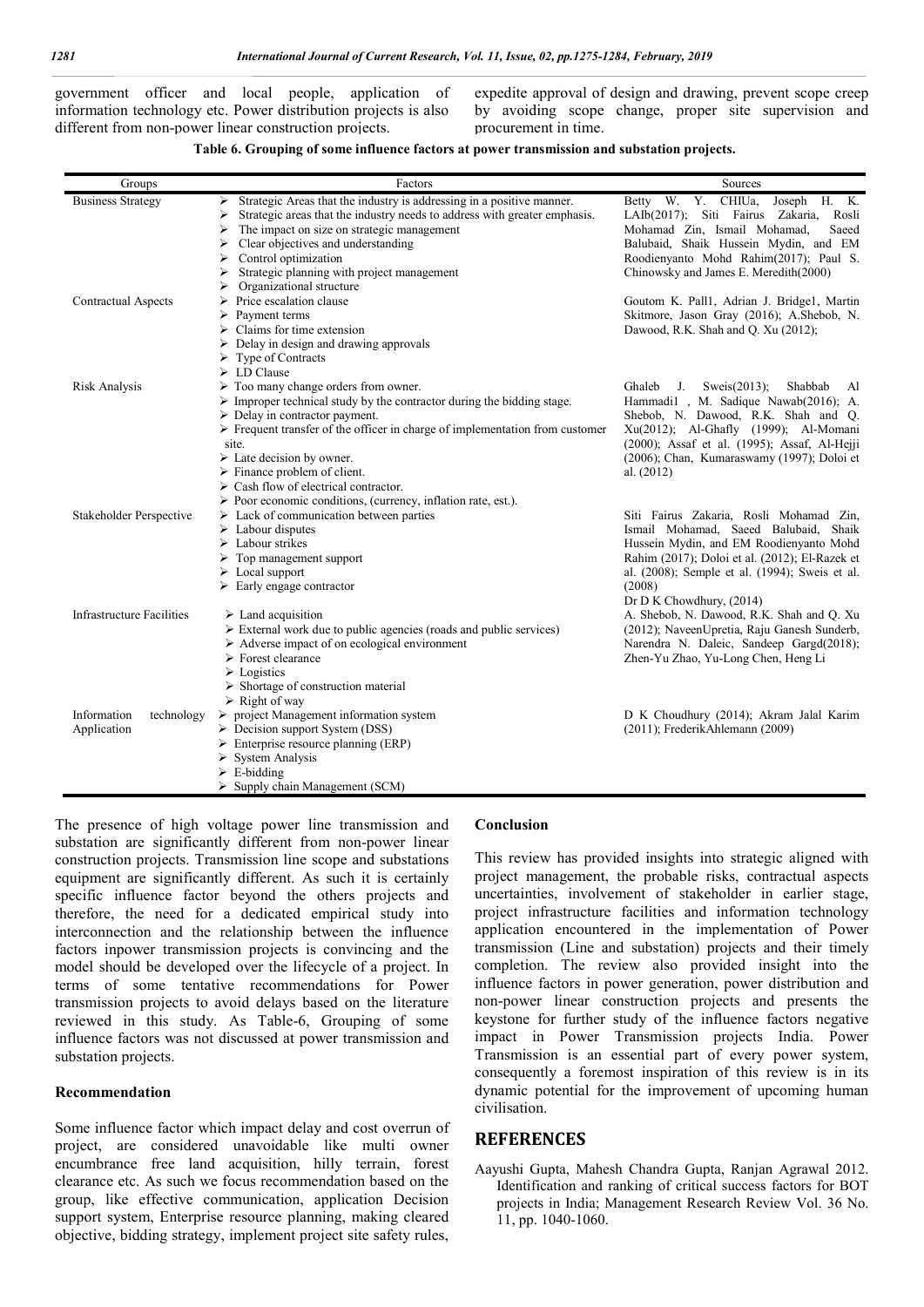government officer and local people, application of information technology etc. Power distribution projects is also different from non-power linear construction projects.

expedite approval of design and drawing, prevent scope creep by avoiding scope change, proper site supervision and procurement in time.

#### **Table 6. Grouping of some influence factors at power transmission and substation projects.**

| Groups                     | Factors                                                                                     | Sources                                           |
|----------------------------|---------------------------------------------------------------------------------------------|---------------------------------------------------|
| <b>Business Strategy</b>   | Strategic Areas that the industry is addressing in a positive manner.<br>➤                  | Betty W. Y. CHIUa, Joseph H. K.                   |
|                            | Strategic areas that the industry needs to address with greater emphasis.<br>⋗              | LAIb(2017); Siti Fairus Zakaria,<br>Rosli         |
|                            | The impact on size on strategic management<br>⋗                                             | Mohamad Zin, Ismail Mohamad,<br>Saeed             |
|                            | Clear objectives and understanding<br>⋗                                                     | Balubaid, Shaik Hussein Mydin, and EM             |
|                            | Control optimization<br>⋗                                                                   | Roodienyanto Mohd Rahim(2017); Paul S.            |
|                            | Strategic planning with project management                                                  | Chinowsky and James E. Meredith(2000)             |
|                            | Organizational structure<br>⋗                                                               |                                                   |
| <b>Contractual Aspects</b> | Price escalation clause<br>⋗                                                                | Goutom K. Pall1, Adrian J. Bridge1, Martin        |
|                            | Payment terms<br>⋗                                                                          | Skitmore, Jason Gray (2016); A.Shebob, N.         |
|                            | Claims for time extension<br>⋗                                                              | Dawood, R.K. Shah and Q. Xu (2012);               |
|                            | Delay in design and drawing approvals<br>➤                                                  |                                                   |
|                            | Type of Contracts<br>➤                                                                      |                                                   |
|                            | $\triangleright$ LD Clause                                                                  |                                                   |
| Risk Analysis              | $\triangleright$ Too many change orders from owner.                                         | Sweis $(2013)$ ;<br>Ghaleb<br>J.<br>Shabbab<br>Al |
|                            | $\triangleright$ Improper technical study by the contractor during the bidding stage.       | Hammadi1, M. Sadique Nawab(2016); A.              |
|                            | $\triangleright$ Delay in contractor payment.                                               | Shebob, N. Dawood, R.K. Shah and Q.               |
|                            | $\triangleright$ Frequent transfer of the officer in charge of implementation from customer | Xu(2012); Al-Ghafly (1999); Al-Momani             |
|                            | site.                                                                                       | (2000); Assaf et al. (1995); Assaf, Al-Hejji      |
|                            | $\triangleright$ Late decision by owner.                                                    | (2006); Chan, Kumaraswamy (1997); Doloi et        |
|                            | $\triangleright$ Finance problem of client.                                                 | al. $(2012)$                                      |
|                            | $\triangleright$ Cash flow of electrical contractor.                                        |                                                   |
|                            | > Poor economic conditions, (currency, inflation rate, est.).                               |                                                   |
| Stakeholder Perspective    | $\triangleright$ Lack of communication between parties                                      | Siti Fairus Zakaria, Rosli Mohamad Zin,           |
|                            | $\triangleright$ Labour disputes                                                            | Ismail Mohamad, Saeed Balubaid, Shaik             |
|                            | $\triangleright$ Labour strikes                                                             | Hussein Mydin, and EM Roodienyanto Mohd           |
|                            | $\triangleright$ Top management support                                                     | Rahim (2017); Doloi et al. (2012); El-Razek et    |
|                            | $\triangleright$ Local support                                                              | al. (2008); Semple et al. (1994); Sweis et al.    |
|                            | $\triangleright$ Early engage contractor                                                    | (2008)                                            |
|                            |                                                                                             | Dr D K Chowdhury, (2014)                          |
| Infrastructure Facilities  | $\triangleright$ Land acquisition                                                           | A. Shebob, N. Dawood, R.K. Shah and Q. Xu         |
|                            | External work due to public agencies (roads and public services)                            | (2012); NaveenUpretia, Raju Ganesh Sunderb,       |
|                            | $\triangleright$ Adverse impact of on ecological environment                                | Narendra N. Daleic, Sandeep Gargd(2018);          |
|                            | $\triangleright$ Forest clearance                                                           | Zhen-Yu Zhao, Yu-Long Chen, Heng Li               |
|                            | $\triangleright$ Logistics                                                                  |                                                   |
|                            | $\triangleright$ Shortage of construction material                                          |                                                   |
|                            | $\triangleright$ Right of way                                                               |                                                   |
| Information<br>technology  | $\triangleright$ project Management information system                                      | D K Choudhury (2014); Akram Jalal Karim           |
| Application                | $\triangleright$ Decision support System (DSS)                                              | (2011); FrederikAhlemann (2009)                   |
|                            | $\triangleright$ Enterprise resource planning (ERP)                                         |                                                   |
|                            | <b>System Analysis</b><br>⋗                                                                 |                                                   |
|                            | $\triangleright$ E-bidding                                                                  |                                                   |
|                            | $\triangleright$ Supply chain Management (SCM)                                              |                                                   |

The presence of high voltage power line transmission and substation are significantly different from non-power linear construction projects. Transmission line scope and substations equipment are significantly different. As such it is certainly specific influence factor beyond the others projects and therefore, the need for a dedicated empirical study into interconnection and the relationship between the influence factors inpower transmission projects is convincing and the model should be developed over the lifecycle of a project. In terms of some tentative recommendations for Power transmission projects to avoid delays based on the literature reviewed in this study. As Table-6, Grouping of some influence factors was not discussed at power transmission and substation projects.

### **Recommendation**

Some influence factor which impact delay and cost overrun of project, are considered unavoidable like multi owner encumbrance free land acquisition, hilly terrain, forest clearance etc. As such we focus recommendation based on the group, like effective communication, application Decision support system, Enterprise resource planning, making cleared objective, bidding strategy, implement project site safety rules,

## **Conclusion**

This review has provided insights into strategic aligned with project management, the probable risks, contractual aspects uncertainties, involvement of stakeholder in earlier stage, project infrastructure facilities and information technology application encountered in the implementation of Power transmission (Line and substation) projects and their timely completion. The review also provided insight into the influence factors in power generation, power distribution and non-power linear construction projects and presents the keystone for further study of the influence factors negative impact in Power Transmission projects India. Power Transmission is an essential part of every power system, consequently a foremost inspiration of this review is in its dynamic potential for the improvement of upcoming human civilisation.

### **REFERENCES**

Aayushi Gupta, Mahesh Chandra Gupta, Ranjan Agrawal 2012. Identification and ranking of critical success factors for BOT projects in India; Management Research Review Vol. 36 No. 11, pp. 1040-1060.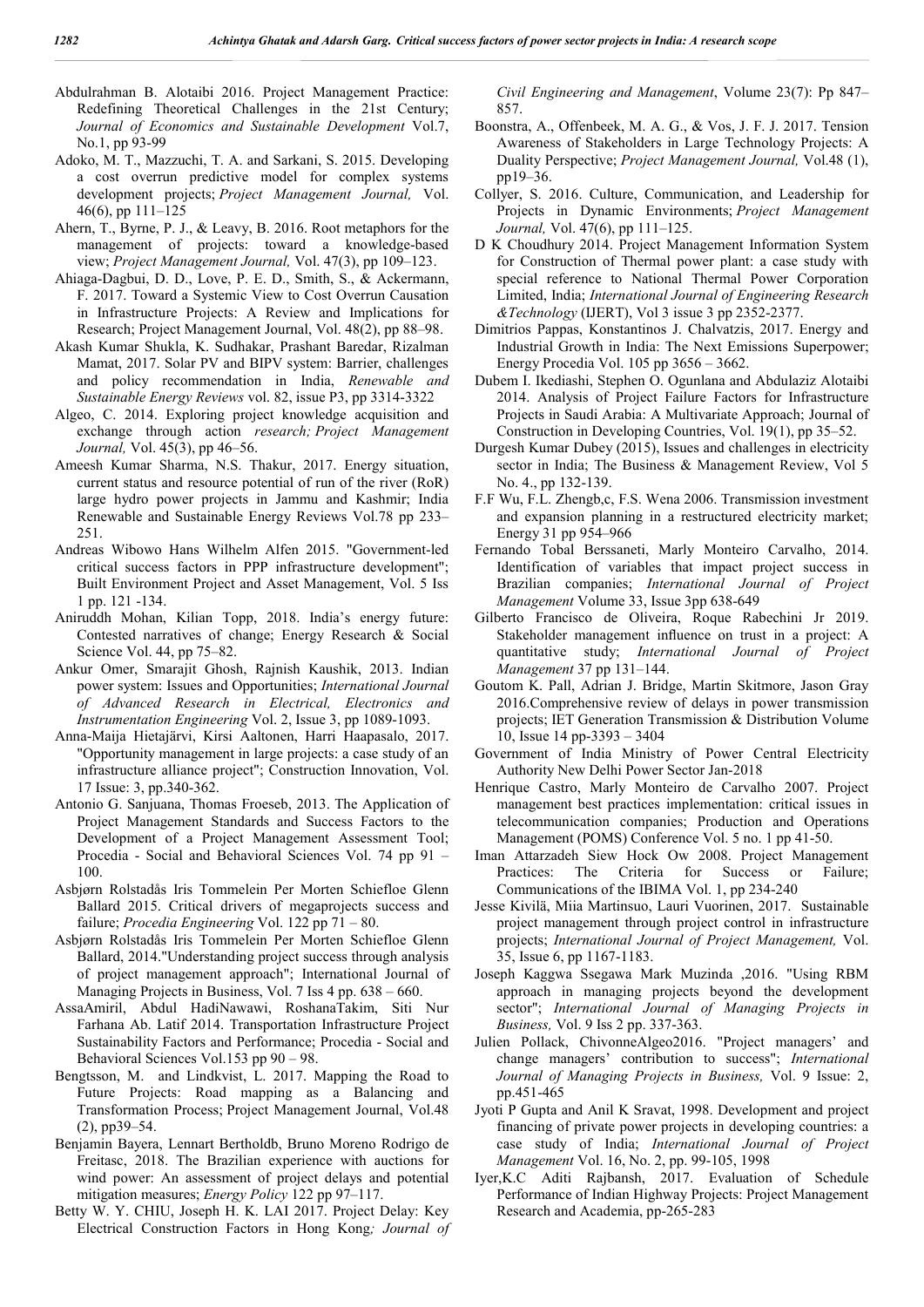- Abdulrahman B. Alotaibi 2016. Project Management Practice: Redefining Theoretical Challenges in the 21st Century; *Journal of Economics and Sustainable Development* Vol.7, No.1, pp 93-99
- Adoko, M. T., Mazzuchi, T. A. and Sarkani, S. 2015. Developing a cost overrun predictive model for complex systems development projects; *Project Management Journal,* Vol. 46(6), pp 111–125
- Ahern, T., Byrne, P. J., & Leavy, B. 2016. Root metaphors for the management of projects: toward a knowledge-based view; *Project Management Journal,* Vol. 47(3), pp 109–123.
- Ahiaga-Dagbui, D. D., Love, P. E. D., Smith, S., & Ackermann, F. 2017. Toward a Systemic View to Cost Overrun Causation in Infrastructure Projects: A Review and Implications for Research; Project Management Journal, Vol. 48(2), pp 88–98.
- Akash Kumar Shukla, K. Sudhakar, Prashant Baredar, Rizalman Mamat, 2017. Solar PV and BIPV system: Barrier, challenges and policy recommendation in India, *Renewable and Sustainable Energy Reviews* vol. 82, issue P3, pp 3314-3322
- Algeo, C. 2014. Exploring project knowledge acquisition and exchange through action *research; Project Management Journal,* Vol. 45(3), pp 46–56.
- Ameesh Kumar Sharma, N.S. Thakur, 2017. Energy situation, current status and resource potential of run of the river (RoR) large hydro power projects in Jammu and Kashmir; India Renewable and Sustainable Energy Reviews Vol.78 pp 233– 251.
- Andreas Wibowo Hans Wilhelm Alfen 2015. "Government-led critical success factors in PPP infrastructure development"; Built Environment Project and Asset Management, Vol. 5 Iss 1 pp. 121 -134.
- Aniruddh Mohan, Kilian Topp, 2018. India's energy future: Contested narratives of change; Energy Research & Social Science Vol. 44, pp 75–82.
- Ankur Omer, Smarajit Ghosh, Rajnish Kaushik, 2013. Indian power system: Issues and Opportunities; *International Journal of Advanced Research in Electrical, Electronics and Instrumentation Engineering* Vol. 2, Issue 3, pp 1089-1093.
- Anna-Maija Hietajärvi, Kirsi Aaltonen, Harri Haapasalo, 2017. "Opportunity management in large projects: a case study of an infrastructure alliance project"; Construction Innovation, Vol. 17 Issue: 3, pp.340-362.
- Antonio G. Sanjuana, Thomas Froeseb, 2013. The Application of Project Management Standards and Success Factors to the Development of a Project Management Assessment Tool; Procedia - Social and Behavioral Sciences Vol. 74 pp 91 – 100.
- Asbjørn Rolstadås Iris Tommelein Per Morten Schiefloe Glenn Ballard 2015. Critical drivers of megaprojects success and failure; *Procedia Engineering* Vol. 122 pp 71 – 80.
- Asbjørn Rolstadås Iris Tommelein Per Morten Schiefloe Glenn Ballard, 2014."Understanding project success through analysis of project management approach"; International Journal of Managing Projects in Business, Vol. 7 Iss 4 pp. 638 – 660.
- AssaAmiril, Abdul HadiNawawi, RoshanaTakim, Siti Nur Farhana Ab. Latif 2014. Transportation Infrastructure Project Sustainability Factors and Performance; Procedia - Social and Behavioral Sciences Vol.153 pp 90 – 98.
- Bengtsson, M. and Lindkvist, L. 2017. Mapping the Road to Future Projects: Road mapping as a Balancing and Transformation Process; Project Management Journal, Vol.48 (2), pp39–54.
- Benjamin Bayera, Lennart Bertholdb, Bruno Moreno Rodrigo de Freitasc, 2018. The Brazilian experience with auctions for wind power: An assessment of project delays and potential mitigation measures; *Energy Policy* 122 pp 97–117.
- Betty W. Y. CHIU, Joseph H. K. LAI 2017. Project Delay: Key Electrical Construction Factors in Hong Kong*; Journal of*

*Civil Engineering and Management*, Volume 23(7): Pp 847– 857.

- Boonstra, A., Offenbeek, M. A. G., & Vos, J. F. J. 2017. Tension Awareness of Stakeholders in Large Technology Projects: A Duality Perspective; *Project Management Journal,* Vol.48 (1), pp19–36.
- Collyer, S. 2016. Culture, Communication, and Leadership for Projects in Dynamic Environments; *Project Management Journal,* Vol. 47(6), pp 111–125.
- D K Choudhury 2014. Project Management Information System for Construction of Thermal power plant: a case study with special reference to National Thermal Power Corporation Limited, India; *International Journal of Engineering Research &Technology* (IJERT), Vol 3 issue 3 pp 2352-2377.
- Dimitrios Pappas, Konstantinos J. Chalvatzis, 2017. Energy and Industrial Growth in India: The Next Emissions Superpower; Energy Procedia Vol. 105 pp 3656 – 3662.
- Dubem I. Ikediashi, Stephen O. Ogunlana and Abdulaziz Alotaibi 2014. Analysis of Project Failure Factors for Infrastructure Projects in Saudi Arabia: A Multivariate Approach; Journal of Construction in Developing Countries, Vol. 19(1), pp 35–52.
- Durgesh Kumar Dubey (2015), Issues and challenges in electricity sector in India; The Business & Management Review, Vol 5 No. 4., pp 132-139.
- F.F Wu, F.L. Zhengb,c, F.S. Wena 2006. Transmission investment and expansion planning in a restructured electricity market; Energy 31 pp 954–966
- Fernando Tobal Berssaneti, Marly Monteiro Carvalho, 2014. Identification of variables that impact project success in Brazilian companies; *International Journal of Project Management* Volume 33, Issue 3pp 638-649
- Gilberto Francisco de Oliveira, Roque Rabechini Jr 2019. Stakeholder management influence on trust in a project: A quantitative study; *International Journal of Project Management* 37 pp 131–144.
- Goutom K. Pall, Adrian J. Bridge, Martin Skitmore, Jason Gray 2016.Comprehensive review of delays in power transmission projects; IET Generation Transmission & Distribution Volume 10, Issue 14 pp-3393 – 3404
- Government of India Ministry of Power Central Electricity Authority New Delhi Power Sector Jan-2018
- Henrique Castro, Marly Monteiro de Carvalho 2007. Project management best practices implementation: critical issues in telecommunication companies; Production and Operations Management (POMS) Conference Vol. 5 no. 1 pp 41-50.
- Iman Attarzadeh Siew Hock Ow 2008. Project Management Practices: The Criteria for Success or Failure; Communications of the IBIMA Vol. 1, pp 234-240
- Jesse Kivilä, Miia Martinsuo, Lauri Vuorinen, 2017. Sustainable project management through project control in infrastructure projects; *International Journal of Project Management,* Vol. 35, Issue 6, pp 1167-1183.
- Joseph Kaggwa Ssegawa Mark Muzinda ,2016. "Using RBM approach in managing projects beyond the development sector"; *International Journal of Managing Projects in Business,* Vol. 9 Iss 2 pp. 337-363.
- Julien Pollack, ChivonneAlgeo2016. "Project managers' and change managers' contribution to success"; *International Journal of Managing Projects in Business,* Vol. 9 Issue: 2, pp.451-465
- Jyoti P Gupta and Anil K Sravat, 1998. Development and project financing of private power projects in developing countries: a case study of India; *International Journal of Project Management* Vol. 16, No. 2, pp. 99-105, 1998
- Iyer,K.C Aditi Rajbansh, 2017. Evaluation of Schedule Performance of Indian Highway Projects: Project Management Research and Academia, pp-265-283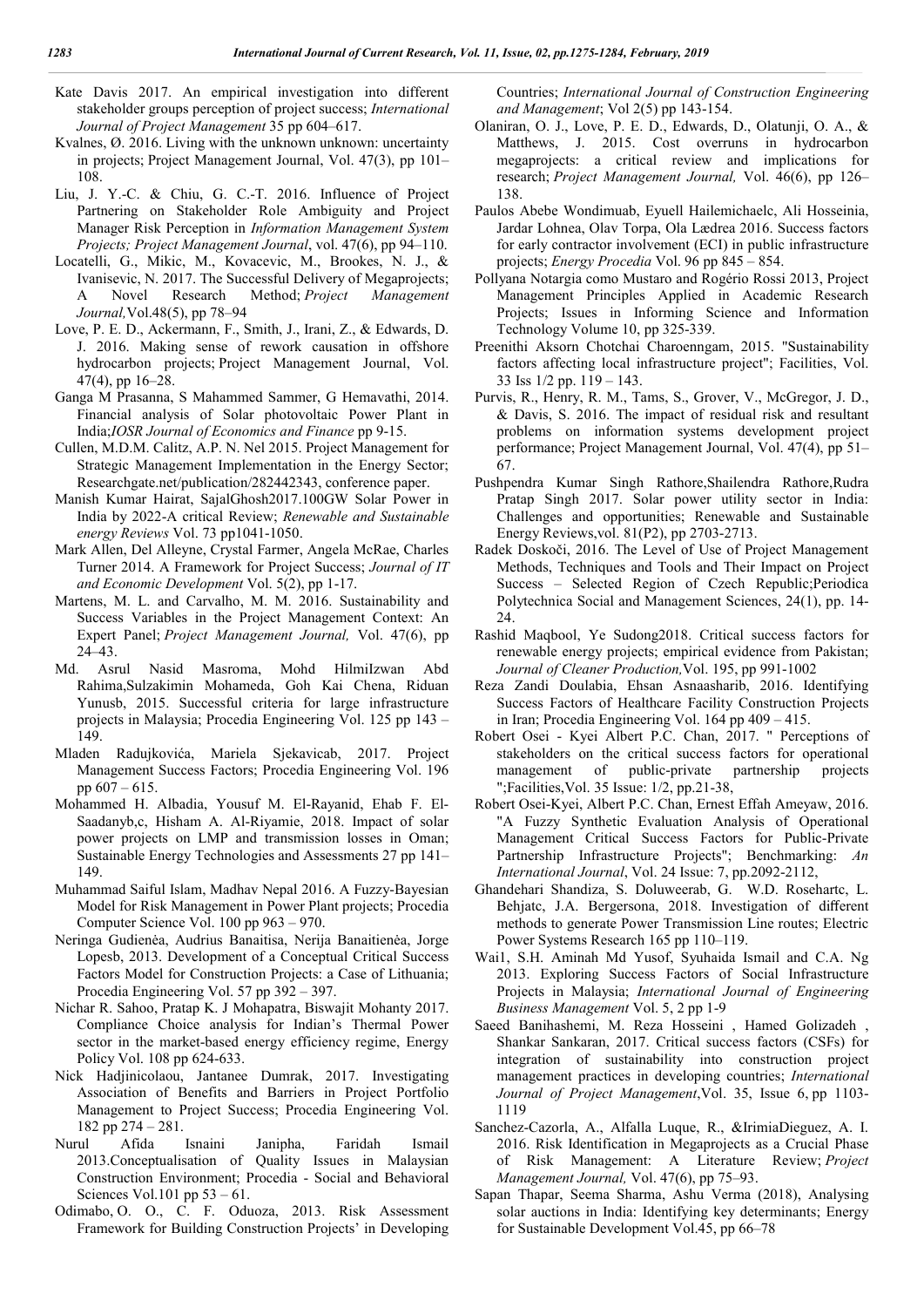- Kate Davis 2017. An empirical investigation into different stakeholder groups perception of project success; *International Journal of Project Management* 35 pp 604–617.
- Kvalnes, Ø. 2016. Living with the unknown unknown: uncertainty in projects; Project Management Journal, Vol. 47(3), pp 101– 108.
- Liu, J. Y.-C. & Chiu, G. C.-T. 2016. Influence of Project Partnering on Stakeholder Role Ambiguity and Project Manager Risk Perception in *Information Management System Projects; Project Management Journal*, vol. 47(6), pp 94–110.
- Locatelli, G., Mikic, M., Kovacevic, M., Brookes, N. J., & Ivanisevic, N. 2017. The Successful Delivery of Megaprojects; A Novel Research Method; *Project Management Journal,*Vol.48(5), pp 78–94
- Love, P. E. D., Ackermann, F., Smith, J., Irani, Z., & Edwards, D. J. 2016. Making sense of rework causation in offshore hydrocarbon projects; Project Management Journal, Vol. 47(4), pp 16–28.
- Ganga M Prasanna, S Mahammed Sammer, G Hemavathi, 2014. Financial analysis of Solar photovoltaic Power Plant in India;*IOSR Journal of Economics and Finance* pp 9-15.
- Cullen, M.D.M. Calitz, A.P. N. Nel 2015. Project Management for Strategic Management Implementation in the Energy Sector; Researchgate.net/publication/282442343, conference paper.
- Manish Kumar Hairat, SajalGhosh2017.100GW Solar Power in India by 2022-A critical Review; *Renewable and Sustainable energy Reviews* Vol. 73 pp1041-1050.
- Mark Allen, Del Alleyne, Crystal Farmer, Angela McRae, Charles Turner 2014. A Framework for Project Success; *Journal of IT and Economic Development* Vol. 5(2), pp 1-17.
- Martens, M. L. and Carvalho, M. M. 2016. Sustainability and Success Variables in the Project Management Context: An Expert Panel; *Project Management Journal,* Vol. 47(6), pp 24–43.
- Md. Asrul Nasid Masroma, Mohd HilmiIzwan Abd Rahima,Sulzakimin Mohameda, Goh Kai Chena, Riduan Yunusb, 2015. Successful criteria for large infrastructure projects in Malaysia; Procedia Engineering Vol. 125 pp 143 – 149.
- Mladen Radujkovića, Mariela Sjekavicab, 2017. Project Management Success Factors; Procedia Engineering Vol. 196 pp  $607 - 615$ .
- Mohammed H. Albadia, Yousuf M. El-Rayanid, Ehab F. El-Saadanyb,c, Hisham A. Al-Riyamie, 2018. Impact of solar power projects on LMP and transmission losses in Oman; Sustainable Energy Technologies and Assessments 27 pp 141– 149.
- Muhammad Saiful Islam, Madhav Nepal 2016. A Fuzzy-Bayesian Model for Risk Management in Power Plant projects; Procedia Computer Science Vol. 100 pp 963 – 970.
- Neringa Gudienėa, Audrius Banaitisa, Nerija Banaitienėa, Jorge Lopesb, 2013. Development of a Conceptual Critical Success Factors Model for Construction Projects: a Case of Lithuania; Procedia Engineering Vol. 57 pp 392 – 397.
- Nichar R. Sahoo, Pratap K. J Mohapatra, Biswajit Mohanty 2017. Compliance Choice analysis for Indian's Thermal Power sector in the market-based energy efficiency regime, Energy Policy Vol. 108 pp 624-633.
- Nick Hadjinicolaou, Jantanee Dumrak, 2017. Investigating Association of Benefits and Barriers in Project Portfolio Management to Project Success; Procedia Engineering Vol. 182 pp 274 – 281.
- Nurul Afida Isnaini Janipha, Faridah Ismail 2013.Conceptualisation of Quality Issues in Malaysian Construction Environment; Procedia - Social and Behavioral Sciences Vol.101 pp 53 – 61.
- Odimabo, O. O., C. F. Oduoza, 2013. Risk Assessment Framework for Building Construction Projects' in Developing

Countries; *International Journal of Construction Engineering and Management*; Vol 2(5) pp 143-154.

- Olaniran, O. J., Love, P. E. D., Edwards, D., Olatunji, O. A., & Matthews, J. 2015. Cost overruns in hydrocarbon megaprojects: a critical review and implications for research; *Project Management Journal,* Vol. 46(6), pp 126– 138.
- Paulos Abebe Wondimuab, Eyuell Hailemichaelc, Ali Hosseinia, Jardar Lohnea, Olav Torpa, Ola Lædrea 2016. Success factors for early contractor involvement (ECI) in public infrastructure projects; *Energy Procedia* Vol. 96 pp 845 – 854.
- Pollyana Notargia como Mustaro and Rogério Rossi 2013, Project Management Principles Applied in Academic Research Projects; Issues in Informing Science and Information Technology Volume 10, pp 325-339.
- Preenithi Aksorn Chotchai Charoenngam, 2015. "Sustainability factors affecting local infrastructure project"; Facilities, Vol. 33 Iss 1/2 pp. 119 – 143.
- Purvis, R., Henry, R. M., Tams, S., Grover, V., McGregor, J. D., & Davis, S. 2016. The impact of residual risk and resultant problems on information systems development project performance; Project Management Journal, Vol. 47(4), pp 51– 67.
- Pushpendra Kumar Singh Rathore,Shailendra Rathore,Rudra Pratap Singh 2017. Solar power utility sector in India: Challenges and opportunities; Renewable and Sustainable Energy Reviews,vol. 81(P2), pp 2703-2713.
- Radek Doskoči, 2016. The Level of Use of Project Management Methods, Techniques and Tools and Their Impact on Project Success – Selected Region of Czech Republic;Periodica Polytechnica Social and Management Sciences, 24(1), pp. 14- 24.
- Rashid Maqbool, Ye Sudong2018. Critical success factors for renewable energy projects; empirical evidence from Pakistan; *Journal of Cleaner Production,*Vol. 195, pp 991-1002
- Reza Zandi Doulabia, Ehsan Asnaasharib, 2016. Identifying Success Factors of Healthcare Facility Construction Projects in Iran; Procedia Engineering Vol. 164 pp 409 – 415.
- Robert Osei Kyei Albert P.C. Chan, 2017. " Perceptions of stakeholders on the critical success factors for operational management of public-private partnership projects ";Facilities,Vol. 35 Issue: 1/2, pp.21-38,
- Robert Osei-Kyei, Albert P.C. Chan, Ernest Effah Ameyaw, 2016. "A Fuzzy Synthetic Evaluation Analysis of Operational Management Critical Success Factors for Public-Private Partnership Infrastructure Projects"; Benchmarking: *An International Journal*, Vol. 24 Issue: 7, pp.2092-2112,
- Ghandehari Shandiza, S. Doluweerab, G. W.D. Rosehartc, L. Behjatc, J.A. Bergersona, 2018. Investigation of different methods to generate Power Transmission Line routes; Electric Power Systems Research 165 pp 110–119.
- Wai1, S.H. Aminah Md Yusof, Syuhaida Ismail and C.A. Ng 2013. Exploring Success Factors of Social Infrastructure Projects in Malaysia; *International Journal of Engineering Business Management* Vol. 5, 2 pp 1-9
- Saeed Banihashemi, M. Reza Hosseini , Hamed Golizadeh , Shankar Sankaran, 2017. Critical success factors (CSFs) for integration of sustainability into construction project management practices in developing countries; *International Journal of Project Management*,Vol. 35, Issue 6, pp 1103- 1119
- Sanchez-Cazorla, A., Alfalla Luque, R., &IrimiaDieguez, A. I. 2016. Risk Identification in Megaprojects as a Crucial Phase of Risk Management: A Literature Review; *Project Management Journal,* Vol. 47(6), pp 75–93.
- Sapan Thapar, Seema Sharma, Ashu Verma (2018), Analysing solar auctions in India: Identifying key determinants; Energy for Sustainable Development Vol.45, pp 66–78